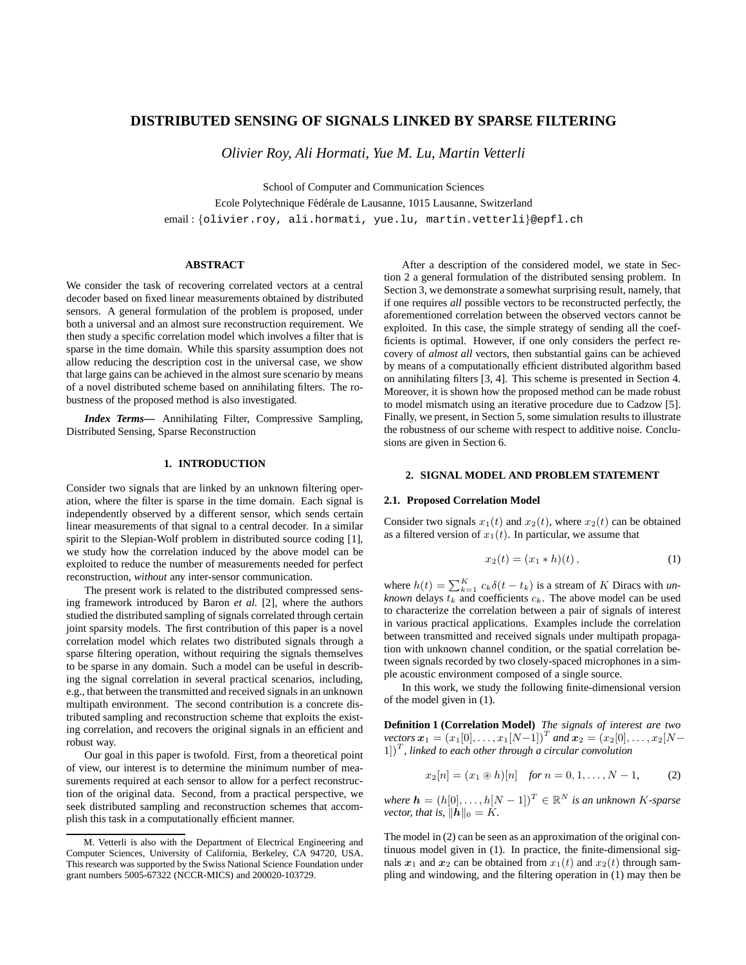# **DISTRIBUTED SENSING OF SIGNALS LINKED BY SPARSE FILTERING**

*Olivier Roy, Ali Hormati, Yue M. Lu, Martin Vetterli*

School of Computer and Communication Sciences

Ecole Polytechnique Fédérale de Lausanne, 1015 Lausanne, Switzerland

email : {olivier.roy, ali.hormati, yue.lu, martin.vetterli}@epfl.ch

## **ABSTRACT**

We consider the task of recovering correlated vectors at a central decoder based on fixed linear measurements obtained by distributed sensors. A general formulation of the problem is proposed, under both a universal and an almost sure reconstruction requirement. We then study a specific correlation model which involves a filter that is sparse in the time domain. While this sparsity assumption does not allow reducing the description cost in the universal case, we show that large gains can be achieved in the almost sure scenario by means of a novel distributed scheme based on annihilating filters. The robustness of the proposed method is also investigated.

*Index Terms***—** Annihilating Filter, Compressive Sampling, Distributed Sensing, Sparse Reconstruction

## **1. INTRODUCTION**

Consider two signals that are linked by an unknown filtering operation, where the filter is sparse in the time domain. Each signal is independently observed by a different sensor, which sends certain linear measurements of that signal to a central decoder. In a similar spirit to the Slepian-Wolf problem in distributed source coding [1], we study how the correlation induced by the above model can be exploited to reduce the number of measurements needed for perfect reconstruction, *without* any inter-sensor communication.

The present work is related to the distributed compressed sensing framework introduced by Baron *et al.* [2], where the authors studied the distributed sampling of signals correlated through certain joint sparsity models. The first contribution of this paper is a novel correlation model which relates two distributed signals through a sparse filtering operation, without requiring the signals themselves to be sparse in any domain. Such a model can be useful in describing the signal correlation in several practical scenarios, including, e.g., that between the transmitted and received signals in an unknown multipath environment. The second contribution is a concrete distributed sampling and reconstruction scheme that exploits the existing correlation, and recovers the original signals in an efficient and robust way.

Our goal in this paper is twofold. First, from a theoretical point of view, our interest is to determine the minimum number of measurements required at each sensor to allow for a perfect reconstruction of the original data. Second, from a practical perspective, we seek distributed sampling and reconstruction schemes that accomplish this task in a computationally efficient manner.

After a description of the considered model, we state in Section 2 a general formulation of the distributed sensing problem. In Section 3, we demonstrate a somewhat surprising result, namely, that if one requires *all* possible vectors to be reconstructed perfectly, the aforementioned correlation between the observed vectors cannot be exploited. In this case, the simple strategy of sending all the coefficients is optimal. However, if one only considers the perfect recovery of *almost all* vectors, then substantial gains can be achieved by means of a computationally efficient distributed algorithm based on annihilating filters [3, 4]. This scheme is presented in Section 4. Moreover, it is shown how the proposed method can be made robust to model mismatch using an iterative procedure due to Cadzow [5]. Finally, we present, in Section 5, some simulation results to illustrate the robustness of our scheme with respect to additive noise. Conclusions are given in Section 6.

### **2. SIGNAL MODEL AND PROBLEM STATEMENT**

#### **2.1. Proposed Correlation Model**

Consider two signals  $x_1(t)$  and  $x_2(t)$ , where  $x_2(t)$  can be obtained as a filtered version of  $x_1(t)$ . In particular, we assume that

$$
x_2(t) = (x_1 * h)(t), \t\t(1)
$$

where  $h(t) = \sum_{k=1}^{K} c_k \delta(t - t_k)$  is a stream of K Diracs with *unknown* delays  $t_k$  and coefficients  $c_k$ . The above model can be used to characterize the correlation between a pair of signals of interest in various practical applications. Examples include the correlation between transmitted and received signals under multipath propagation with unknown channel condition, or the spatial correlation between signals recorded by two closely-spaced microphones in a simple acoustic environment composed of a single source.

In this work, we study the following finite-dimensional version of the model given in (1).

**Definition 1 (Correlation Model)** *The signals of interest are two*  $\text{vectors } \bm{x}_1 = (x_1[0], \dots, x_1[N{-}1])^T \text{ and } \bm{x}_2 = (x_2[0], \dots, x_2[N{-}1])^T$  $[1]$ <sup>T</sup>, linked to each other through a circular convolution

$$
x_2[n] = (x_1 \circledast h)[n] \quad \text{for } n = 0, 1, \dots, N - 1,
$$
 (2)

 $where \, \boldsymbol{h} = (h[0], \dots, h[N-1])^T \in \mathbb{R}^N$  *is an unknown K-sparse vector, that is,*  $||h||_0 = K$ .

The model in (2) can be seen as an approximation of the original continuous model given in (1). In practice, the finite-dimensional signals  $x_1$  and  $x_2$  can be obtained from  $x_1(t)$  and  $x_2(t)$  through sampling and windowing, and the filtering operation in (1) may then be

M. Vetterli is also with the Department of Electrical Engineering and Computer Sciences, University of California, Berkeley, CA 94720, USA. This research was supported by the Swiss National Science Foundation under grant numbers 5005-67322 (NCCR-MICS) and 200020-103729.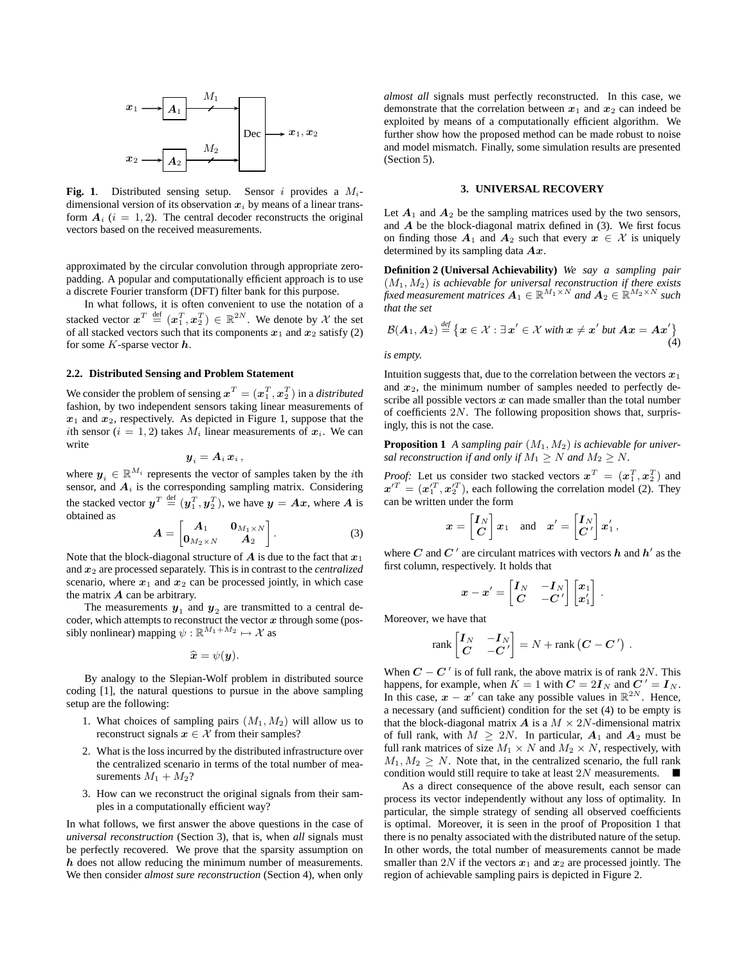

Fig. 1. Distributed sensing setup. Sensor i provides a  $M_i$ dimensional version of its observation  $x_i$  by means of a linear transform  $A_i$  ( $i = 1, 2$ ). The central decoder reconstructs the original vectors based on the received measurements.

approximated by the circular convolution through appropriate zeropadding. A popular and computationally efficient approach is to use a discrete Fourier transform (DFT) filter bank for this purpose.

In what follows, it is often convenient to use the notation of a stacked vector  $\pmb{x}^T\ \stackrel{\text{def}}{=}(\pmb{x}^T_1,\pmb{x}^T_2)\,\in\,\mathbb{R}^{2N}.$  We denote by  $\mathcal X$  the set of all stacked vectors such that its components  $x_1$  and  $x_2$  satisfy (2) for some  $K$ -sparse vector  $h$ .

## **2.2. Distributed Sensing and Problem Statement**

We consider the problem of sensing  $\boldsymbol{x}^T = (\boldsymbol{x}_1^T, \boldsymbol{x}_2^T)$  in a *distributed* fashion, by two independent sensors taking linear measurements of  $x_1$  and  $x_2$ , respectively. As depicted in Figure 1, suppose that the ith sensor ( $i = 1, 2$ ) takes  $M_i$  linear measurements of  $x_i$ . We can write

$$
\boldsymbol{y}_i = \boldsymbol{A}_i \, \boldsymbol{x}_i \,,
$$

where  $y_i \in \mathbb{R}^{M_i}$  represents the vector of samples taken by the *i*th sensor, and  $A_i$  is the corresponding sampling matrix. Considering the stacked vector  $y^T \stackrel{\text{def}}{=} (y_1^T, y_2^T)$ , we have  $y = Ax$ , where A is obtained as

$$
\boldsymbol{A} = \begin{bmatrix} \boldsymbol{A}_1 & \boldsymbol{0}_{M_1 \times N} \\ \boldsymbol{0}_{M_2 \times N} & \boldsymbol{A}_2 \end{bmatrix} . \tag{3}
$$

Note that the block-diagonal structure of  $\vec{A}$  is due to the fact that  $x_1$ and x<sup>2</sup> are processed separately. This is in contrast to the *centralized* scenario, where  $x_1$  and  $x_2$  can be processed jointly, in which case the matrix  $\boldsymbol{A}$  can be arbitrary.

The measurements  $y_1$  and  $y_2$  are transmitted to a central decoder, which attempts to reconstruct the vector  $x$  through some (possibly nonlinear) mapping  $\psi : \mathbb{R}^{M_1 + M_2} \mapsto \mathcal{X}$  as

$$
\widehat{\boldsymbol{x}}=\psi(\boldsymbol{y}).
$$

By analogy to the Slepian-Wolf problem in distributed source coding [1], the natural questions to pursue in the above sampling setup are the following:

- 1. What choices of sampling pairs  $(M_1, M_2)$  will allow us to reconstruct signals  $x \in \mathcal{X}$  from their samples?
- 2. What is the loss incurred by the distributed infrastructure over the centralized scenario in terms of the total number of measurements  $M_1 + M_2$ ?
- 3. How can we reconstruct the original signals from their samples in a computationally efficient way?

In what follows, we first answer the above questions in the case of *universal reconstruction* (Section 3), that is, when *all* signals must be perfectly recovered. We prove that the sparsity assumption on h does not allow reducing the minimum number of measurements. We then consider *almost sure reconstruction* (Section 4), when only

*almost all* signals must perfectly reconstructed. In this case, we demonstrate that the correlation between  $x_1$  and  $x_2$  can indeed be exploited by means of a computationally efficient algorithm. We further show how the proposed method can be made robust to noise and model mismatch. Finally, some simulation results are presented (Section 5).

#### **3. UNIVERSAL RECOVERY**

Let  $A_1$  and  $A_2$  be the sampling matrices used by the two sensors, and  $\vec{A}$  be the block-diagonal matrix defined in (3). We first focus on finding those  $A_1$  and  $A_2$  such that every  $x \in \mathcal{X}$  is uniquely determined by its sampling data  $Ax$ .

**Definition 2 (Universal Achievability)** *We say a sampling pair*  $(M_1, M_2)$  *is achievable for universal reconstruction if there exists fixed measurement matrices*  $A_1 \in \mathbb{R}^{M_1 \times N}$  and  $A_2 \in \mathbb{R}^{M_2 \times N}$  such *that the set*

$$
\mathcal{B}(A_1, A_2) \stackrel{\text{def}}{=} \big\{ x \in \mathcal{X} : \exists x' \in \mathcal{X} \text{ with } x \neq x' \text{ but } Ax = Ax' \big\}
$$

*is empty.*

Intuition suggests that, due to the correlation between the vectors  $x_1$ and  $x_2$ , the minimum number of samples needed to perfectly describe all possible vectors  $x$  can made smaller than the total number of coefficients  $2N$ . The following proposition shows that, surprisingly, this is not the case.

**Proposition 1** *A sampling pair*  $(M_1, M_2)$  *is achievable for universal reconstruction if and only if*  $M_1 > N$  *and*  $M_2 > N$ *.* 

*Proof:* Let us consider two stacked vectors  $x^T = (x_1^T, x_2^T)$  and  $x'^T = (x'^T_1, x'^T_2)$ , each following the correlation model (2). They can be written under the form

$$
x = \begin{bmatrix} I_N \\ C \end{bmatrix} x_1 \quad \text{and} \quad x' = \begin{bmatrix} I_N \\ C' \end{bmatrix} x'_1,
$$

where C and C' are circulant matrices with vectors  $h$  and  $h'$  as the first column, respectively. It holds that

$$
\boldsymbol{x} - \boldsymbol{x}' = \begin{bmatrix} \boldsymbol{I}_N & -\boldsymbol{I}_N \\ \boldsymbol{C} & -\boldsymbol{C}' \end{bmatrix} \begin{bmatrix} \boldsymbol{x}_1 \\ \boldsymbol{x}'_1 \end{bmatrix}.
$$

Moreover, we have that

$$
\text{rank}\begin{bmatrix} \boldsymbol{I}_N & -\boldsymbol{I}_N \\ \boldsymbol{C} & -\boldsymbol{C}' \end{bmatrix} = N + \text{rank}\begin{bmatrix} \boldsymbol{C} - \boldsymbol{C}' \end{bmatrix}.
$$

When  $C - C'$  is of full rank, the above matrix is of rank 2N. This happens, for example, when  $K = 1$  with  $C = 2I_N$  and  $C' = I_N$ . In this case,  $x - x'$  can take any possible values in  $\mathbb{R}^{2N}$ . Hence, a necessary (and sufficient) condition for the set (4) to be empty is that the block-diagonal matrix  $\boldsymbol{A}$  is a  $M \times 2N$ -dimensional matrix of full rank, with  $M \geq 2N$ . In particular,  $A_1$  and  $A_2$  must be full rank matrices of size  $M_1 \times N$  and  $M_2 \times N$ , respectively, with  $M_1, M_2 \geq N$ . Note that, in the centralized scenario, the full rank condition would still require to take at least  $2N$  measurements.  $\blacksquare$ 

As a direct consequence of the above result, each sensor can process its vector independently without any loss of optimality. In particular, the simple strategy of sending all observed coefficients is optimal. Moreover, it is seen in the proof of Proposition 1 that there is no penalty associated with the distributed nature of the setup. In other words, the total number of measurements cannot be made smaller than 2N if the vectors  $x_1$  and  $x_2$  are processed jointly. The region of achievable sampling pairs is depicted in Figure 2.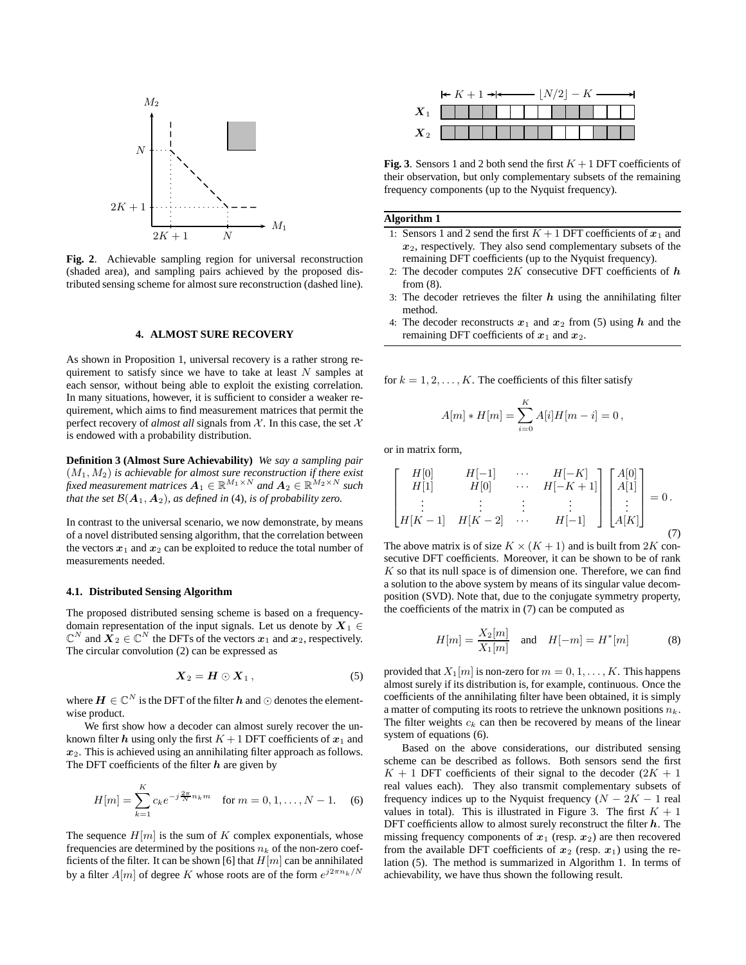

**Fig. 2**. Achievable sampling region for universal reconstruction (shaded area), and sampling pairs achieved by the proposed distributed sensing scheme for almost sure reconstruction (dashed line).

## **4. ALMOST SURE RECOVERY**

As shown in Proposition 1, universal recovery is a rather strong requirement to satisfy since we have to take at least  $N$  samples at each sensor, without being able to exploit the existing correlation. In many situations, however, it is sufficient to consider a weaker requirement, which aims to find measurement matrices that permit the perfect recovery of *almost all* signals from  $X$ . In this case, the set  $X$ is endowed with a probability distribution.

**Definition 3 (Almost Sure Achievability)** *We say a sampling pair*  $(M_1, M_2)$  is achievable for almost sure reconstruction if there exist fixed measurement matrices  $A_1 \in \mathbb{R}^{M_1 \times N}$  and  $A_2 \in \mathbb{R}^{M_2 \times N}$  such *that the set*  $\mathcal{B}(\mathbf{A}_1, \mathbf{A}_2)$ *, as defined in* (4)*, is of probability zero.* 

In contrast to the universal scenario, we now demonstrate, by means of a novel distributed sensing algorithm, that the correlation between the vectors  $x_1$  and  $x_2$  can be exploited to reduce the total number of measurements needed.

#### **4.1. Distributed Sensing Algorithm**

The proposed distributed sensing scheme is based on a frequencydomain representation of the input signals. Let us denote by  $X_1 \in$  $\mathbb{C}^N$  and  $\overline{X}_2 \in \mathbb{C}^N$  the DFTs of the vectors  $x_1$  and  $x_2$ , respectively. The circular convolution (2) can be expressed as

$$
\boldsymbol{X}_2 = \boldsymbol{H} \odot \boldsymbol{X}_1, \tag{5}
$$

where  $\boldsymbol{H}\in\mathbb{C}^{N}$  is the DFT of the filter  $\boldsymbol{h}$  and  $\odot$  denotes the elementwise product.

We first show how a decoder can almost surely recover the unknown filter h using only the first  $K + 1$  DFT coefficients of  $x_1$  and  $x<sub>2</sub>$ . This is achieved using an annihilating filter approach as follows. The DFT coefficients of the filter  $h$  are given by

$$
H[m] = \sum_{k=1}^{K} c_k e^{-j\frac{2\pi}{N}n_k m} \quad \text{for } m = 0, 1, \dots, N-1.
$$
 (6)

The sequence  $H[m]$  is the sum of K complex exponentials, whose frequencies are determined by the positions  $n_k$  of the non-zero coefficients of the filter. It can be shown [6] that  $H[m]$  can be annihilated by a filter  $A[m]$  of degree K whose roots are of the form  $e^{j2\pi n_k/N}$ 

|                    | $\leftarrow K + 1 \rightarrow \leftarrow \qquad  N/2  - K \rightarrow \rightarrow$ |  |  |  |  |  |  |  |  |  |  |  |  |  |  |
|--------------------|------------------------------------------------------------------------------------|--|--|--|--|--|--|--|--|--|--|--|--|--|--|
| $\boldsymbol{X}_1$ | .                                                                                  |  |  |  |  |  |  |  |  |  |  |  |  |  |  |
| $X_2$              |                                                                                    |  |  |  |  |  |  |  |  |  |  |  |  |  |  |

**Fig. 3**. Sensors 1 and 2 both send the first  $K + 1$  DFT coefficients of their observation, but only complementary subsets of the remaining frequency components (up to the Nyquist frequency).

### **Algorithm 1**

- 1: Sensors 1 and 2 send the first  $K + 1$  DFT coefficients of  $x_1$  and  $x_2$ , respectively. They also send complementary subsets of the remaining DFT coefficients (up to the Nyquist frequency).
- 2: The decoder computes  $2K$  consecutive DFT coefficients of  $h$ from (8).
- 3: The decoder retrieves the filter  $h$  using the annihilating filter method.
- 4: The decoder reconstructs  $x_1$  and  $x_2$  from (5) using h and the remaining DFT coefficients of  $x_1$  and  $x_2$ .

for  $k = 1, 2, \ldots, K$ . The coefficients of this filter satisfy

$$
A[m] * H[m] = \sum_{i=0}^{K} A[i]H[m-i] = 0,
$$

or in matrix form,

$$
\begin{bmatrix}\nH[0] & H[-1] & \cdots & H[-K] \\
H[1] & H[0] & \cdots & H[-K+1] \\
\vdots & \vdots & \vdots & \vdots \\
H[K-1] & H[K-2] & \cdots & H[-1]\n\end{bmatrix}\n\begin{bmatrix}\nA[0] \\
A[1] \\
\vdots \\
A[K]\n\end{bmatrix} = 0.
$$
\n(7)

The above matrix is of size  $K \times (K + 1)$  and is built from 2K consecutive DFT coefficients. Moreover, it can be shown to be of rank  $K$  so that its null space is of dimension one. Therefore, we can find a solution to the above system by means of its singular value decomposition (SVD). Note that, due to the conjugate symmetry property, the coefficients of the matrix in (7) can be computed as

$$
H[m] = \frac{X_2[m]}{X_1[m]} \quad \text{and} \quad H[-m] = H^*[m] \tag{8}
$$

provided that  $X_1[m]$  is non-zero for  $m = 0, 1, \ldots, K$ . This happens almost surely if its distribution is, for example, continuous. Once the coefficients of the annihilating filter have been obtained, it is simply a matter of computing its roots to retrieve the unknown positions  $n_k$ . The filter weights  $c_k$  can then be recovered by means of the linear system of equations (6).

Based on the above considerations, our distributed sensing scheme can be described as follows. Both sensors send the first  $K + 1$  DFT coefficients of their signal to the decoder  $(2K + 1)$ real values each). They also transmit complementary subsets of frequency indices up to the Nyquist frequency  $(N - 2K - 1)$  real values in total). This is illustrated in Figure 3. The first  $K + 1$ DFT coefficients allow to almost surely reconstruct the filter  $h$ . The missing frequency components of  $x_1$  (resp.  $x_2$ ) are then recovered from the available DFT coefficients of  $x_2$  (resp.  $x_1$ ) using the relation (5). The method is summarized in Algorithm 1. In terms of achievability, we have thus shown the following result.